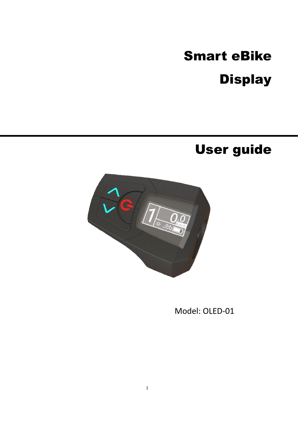# Smart eBike **Display**

## User guide



Model: OLED-01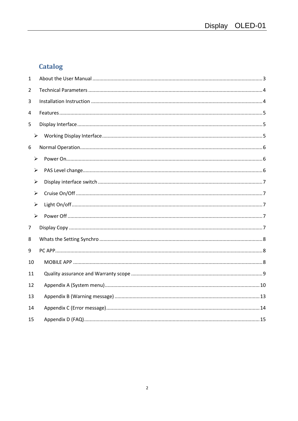## **Catalog**

| $\mathbf{1}$ |                       |  |
|--------------|-----------------------|--|
| 2            |                       |  |
| 3            |                       |  |
| 4            |                       |  |
| 5            |                       |  |
|              | $\blacktriangleright$ |  |
| 6            |                       |  |
|              | $\blacktriangleright$ |  |
|              | ➤                     |  |
|              | ➤                     |  |
|              | ➤                     |  |
|              | $\blacktriangleright$ |  |
|              | $\blacktriangleright$ |  |
| 7            |                       |  |
| 8            |                       |  |
| 9            |                       |  |
| 10           |                       |  |
| 11           |                       |  |
| 12           |                       |  |
| 13           |                       |  |
| 14           |                       |  |
| 15           |                       |  |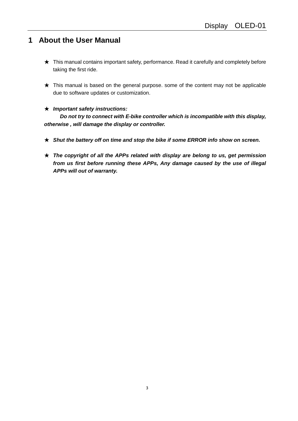#### <span id="page-2-0"></span>**1 About the User Manual**

- ★ This manual contains important safety, performance. Read it carefully and completely before taking the first ride.
- $\star$  This manual is based on the general purpose. some of the content may not be applicable due to software updates or customization.

#### ★ *Important safety instructions:*

 *Do not try to connect with E-bike controller which is incompatible with this display, otherwise , will damage the display or controller.*

- ★ *Shut the battery off on time and stop the bike if some ERROR info show on screen.*
- ★ *The copyright of all the APPs related with display are belong to us, get permission from us first before running these APPs, Any damage caused by the use of illegal APPs will out of warranty.*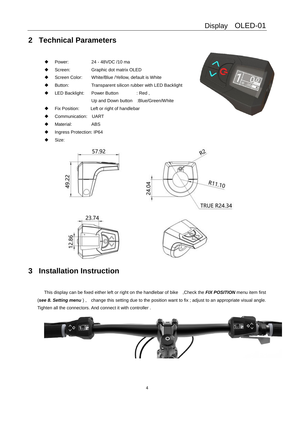$\mathit{Q}$ . $\mathit{\overline{Q}}$ 

#### <span id="page-3-0"></span>**2 Technical Parameters**

- ◆ Power: 24 48VDC /10 ma
- Screen: Graphic dot matrix OLED
- Screen Color: White/Blue /Yellow, default is White
- Button: Transparent silicon rubber with LED Backlight
- LED Backlight: Power Button : Red,
	- Up and Down button :Blue/Green/White
- Fix Position: Left or right of handlebar

57.92

- Communication: UART
- Material: ABS

49.22

- Ingress Protection: IP64
- Size:







#### <span id="page-3-1"></span>**3 Installation Instruction**

This display can be fixed either left or right on the handlebar of bike ,Check the *FIX POSITION* menu item first (*see 8. Setting menu* ) , change this setting due to the position want to fix ; adjust to an appropriate visual angle. Tighten all the connectors. And connect it with controller .

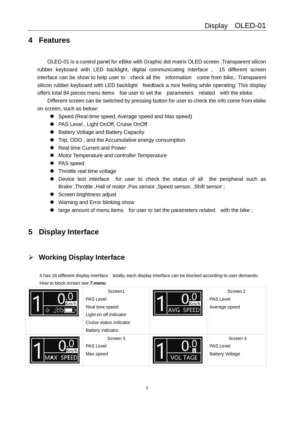#### <span id="page-4-0"></span>**4 Features**

OLED-01 is a control panel for eBike with Graphic dot matrix OLED screen ,Transparent silicon rubber keyboard with LED backlight, digital communicating interface , 15 different screen interface can be show to help user to check all the information come from bike,; Transparent silicon rubber keyboard with LED backlight feedback a nice feeling while operating; This display offers total 84 pieces menu items foe user to set the parameters related with the ebike.

Different screen can be switched by pressing button for user to check the info come from ebike on screen, such as below:

- ◆ Speed (Real-time speed, Average speed and Max speed)
- ◆ PAS Level, Light OnOff, Cruise OnOff
- ◆ Battery Voltage and Battery Capacity
- ◆ Trip, ODO, and the Accumulative energy consumption
- ◆ Real time Current and Power
- ◆ Motor Temperature and controller Temperature
- ◆ PAS speed
- ◆ Throttle real time voltage
- ◆ Device test interface for user to check the status of all the peripheral such as Brake ,Throttle ,Hall of motor ,Pas sensor ,Speed sensor, ,Shift sensor ;
- ◆ Screen brightness adjust
- ◆ Warning and Error blinking show
- ◆ large amount of menu items for user to set the parameters related with the bike;

#### <span id="page-4-1"></span>**5 Display Interface**

#### <span id="page-4-2"></span>➢ **Working Display Interface**

It has 16 different display interface totally, each display interface can be blocked according to user demands; How to block screen see *7.menu*

| Km/h<br>$56 - 551$      | Screen1<br><b>PAS Level</b><br>Real time speed<br>Light on off indicator<br>Cruise status indicator | AVG SPEED       | Screen <sub>2</sub><br><b>PAS Level</b><br>Average speed |
|-------------------------|-----------------------------------------------------------------------------------------------------|-----------------|----------------------------------------------------------|
|                         | Battery indicator                                                                                   |                 |                                                          |
| m/h<br><b>MAX SPEED</b> | Screen 3<br>PAS Level<br>Max speed                                                                  | <b>VOL TAGE</b> | Screen 4<br><b>PAS Level</b><br><b>Battery Voltage</b>   |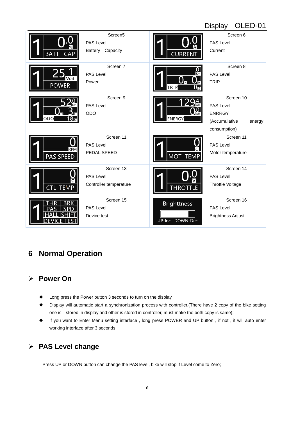|                                |                                                             |                                       | OLED-01<br><b>Display</b>                                                                 |
|--------------------------------|-------------------------------------------------------------|---------------------------------------|-------------------------------------------------------------------------------------------|
| <b>BATT</b><br>CAP             | Screen <sub>5</sub><br><b>PAS Level</b><br>Battery Capacity | <b>CURRENT</b>                        | Screen 6<br><b>PAS Level</b><br>Current                                                   |
| <b>POWER</b>                   | Screen 7<br><b>PAS Level</b><br>Power                       | 0<br>TRIP                             | Screen 8<br><b>PAS Level</b><br><b>TRIP</b>                                               |
| ODO                            | Screen 9<br><b>PAS Level</b><br><b>ODO</b>                  | <b>ENERGY</b>                         | Screen 10<br><b>PAS Level</b><br><b>ENRRGY</b><br>(Accumulative<br>energy<br>consumption) |
| <b>RPM</b><br><b>PAS SPEED</b> | Screen 11<br><b>PAS Level</b><br>PEDAL SPEED                | <b>MOT TEM</b>                        | Screen 11<br><b>PAS Level</b><br>Motor temperature                                        |
| CTL TEMP                       | Screen 13<br><b>PAS Level</b><br>Controller temperature     | <b>THROTTLE</b>                       | Screen 14<br><b>PAS Level</b><br>Throttle Voltage                                         |
|                                | Screen 15<br><b>PAS Level</b><br>Device test                | <b>Brighttness</b><br>UP-Inc DOWN-Dec | Screen 16<br><b>PAS Level</b><br><b>Brightness Adjust</b>                                 |

#### <span id="page-5-0"></span>**6 Normal Operation**

#### <span id="page-5-1"></span>➢ **Power On**

- Long press the Power button 3 seconds to turn on the display
- ◆ Display will automatic start a synchronization process with controller.(There have 2 copy of the bike setting one is stored in display and other is stored in controller, must make the both copy is same);
- ◆ If you want to Enter Menu setting interface , long press POWER and UP button , if not , it will auto enter working interface after 3 seconds

#### <span id="page-5-2"></span>➢ **PAS Level change**

Press UP or DOWN button can change the PAS level, bike will stop if Level come to Zero;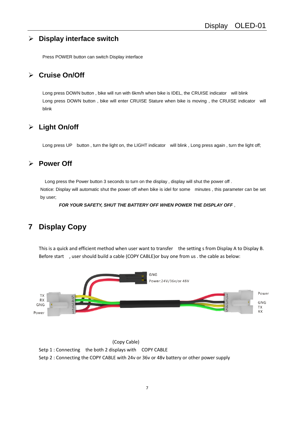#### <span id="page-6-0"></span>➢ **Display interface switch**

Press POWER button can switch Display interface

#### <span id="page-6-1"></span>➢ **Cruise On/Off**

Long press DOWN button, bike will run with 6km/h when bike is IDEL, the CRUISE indicator will blink Long press DOWN button , bike will enter CRUISE Stature when bike is moving , the CRUISE indicator will blink

#### <span id="page-6-2"></span>➢ **Light On/off**

Long press UP button, turn the light on, the LIGHT indicator will blink, Long press again, turn the light off;

#### <span id="page-6-3"></span>➢ **Power Off**

Long press the Power button 3 seconds to turn on the display , display will shut the power off .

Notice: Display will automatic shut the power off when bike is idel for some minutes , this parameter can be set by user;

*FOR YOUR SAFETY, SHUT THE BATTERY OFF WHEN POWER THE DISPLAY OFF* ,

#### <span id="page-6-4"></span>**7 Display Copy**

This is a quick and efficient method when user want to transfer the setting s from Display A to Display B. Before start , user should build a cable (COPY CABLE)or buy one from us . the cable as below:



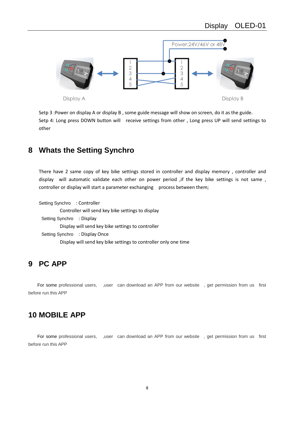

Setp 3 :Power on display A or display B , some guide message will show on screen, do it as the guide. Setp 4: Long press DOWN button will receive settings from other , Long press UP will send settings to other

#### <span id="page-7-0"></span>**8 Whats the Setting Synchro**

There have 2 same copy of key bike settings stored in controller and display memory , controller and display will automatic validate each other on power period ,if the key bike settings is not same , controller or display will start a parameter exchanging process between them;

Setting Synchro : Controller Controller will send key bike settings to display Setting Synchro : Display Display will send key bike settings to controller Setting Synchro : Display Once Display will send key bike settings to controller only one time

#### <span id="page-7-1"></span>**9 PC APP**

<span id="page-7-2"></span>For some professional users, , user can download an APP from our website, get permission from us first before run this APP

#### **10 MOBILE APP**

For some professional users, , user can download an APP from our website, get permission from us first before run this APP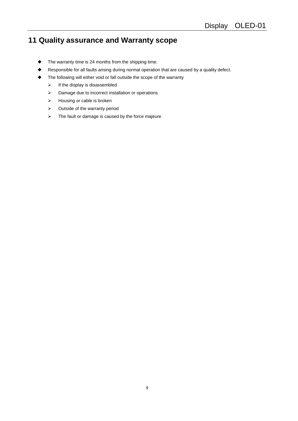## <span id="page-8-0"></span>**11 Quality assurance and Warranty scope**

- ◆ The warranty time is 24 months from the shipping time.
- Responsible for all faults arising during normal operation that are caused by a quality defect.
	- The following will either void or fall outside the scope of the warranty
		- $\triangleright$  If the display is disassembled
		- ➢ Damage due to incorrect installation or operations
		- ➢ Housing or cable is broken
		- ➢ Outside of the warranty period
		- ➢ The fault or damage is caused by the force majeure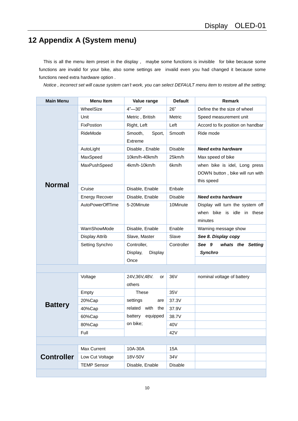## <span id="page-9-0"></span>**12 Appendix A (System menu)**

This is all the menu item preset in the display , maybe some functions is invisible for bike because some functions are invalid for your bike, also some settings are invalid even you had changed it because some functions need extra hardware option .

*Notice , incorrect set will cause system can't work, you can select DEFAULT menu item to restore all the setting;*

| <b>Main Menu</b>  | <b>Menu Item</b>      | Value range                  | <b>Default</b> | Remark                            |
|-------------------|-----------------------|------------------------------|----------------|-----------------------------------|
|                   | WheelSize             | $4 - 30$ "                   | 26"            | Define the the size of wheel      |
|                   | Unit                  | Metric, British              | Metric         | Speed measurement unit            |
|                   | FixPostion            | Right, Left                  | Left           | Accord to fix position on handbar |
|                   | RideMode              | Smooth,<br>Sport,<br>Extreme | Smooth         | Ride mode                         |
|                   | AutoLight             | Disable, Enable              | Disable        | <b>Need extra hardware</b>        |
|                   | MaxSpeed              | 10km/h-40km/h                | 25km/h         | Max speed of bike                 |
|                   | MaxPushSpeed          | 4km/h-10km/h                 | 6km/h          | when bike is idel, Long press     |
|                   |                       |                              |                | DOWN button, bike will run with   |
| <b>Normal</b>     |                       |                              |                | this speed                        |
|                   | Cruise                | Disable, Enable              | Enbale         |                                   |
|                   | <b>Energy Recover</b> | Disable, Enable              | <b>Disable</b> | <b>Need extra hardware</b>        |
|                   | AutoPowerOffTime      | 5-20Minute                   | 10Minute       | Display will turn the system off  |
|                   |                       |                              |                | when bike is idle in these        |
|                   |                       |                              |                | minutes                           |
|                   | WarnShowMode          | Disable, Enable              | Enable         | Warning message show              |
|                   | Display Attrib        | Slave, Master                | Slave          | See 8. Display copy               |
|                   | Setting Synchro       | Controller,                  | Controller     | See 9<br>whats the Setting        |
|                   |                       | Display,<br>Display          |                | Synchro                           |
|                   |                       | Once                         |                |                                   |
|                   |                       |                              |                |                                   |
|                   | Voltage               | 24V,36V,48V.<br>or<br>others | 36V            | nominal voltage of battery        |
|                   | Empty                 | These                        | 35V            |                                   |
|                   | 20%Cap                | settings<br>are              | 37.3V          |                                   |
| <b>Battery</b>    | 40%Cap                | with<br>related<br>the       | 37.9V          |                                   |
|                   | 60%Cap                | battery<br>equipped          | 38.7V          |                                   |
|                   | 80%Cap                | on bike;                     | 40V            |                                   |
|                   | Full                  |                              | 42V            |                                   |
|                   |                       |                              |                |                                   |
|                   | Max Current           | 10A-30A                      | 15A            |                                   |
| <b>Controller</b> | Low Cut Voltage       | 18V-50V                      | 34V            |                                   |
|                   | <b>TEMP Sensor</b>    | Disable, Enable              | Disable        |                                   |
|                   |                       |                              |                |                                   |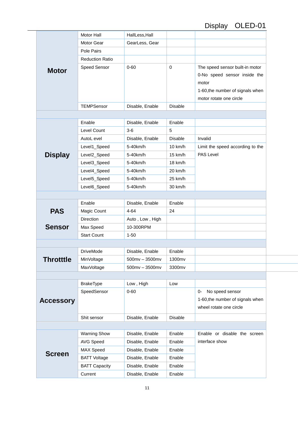## Display OLED-01

|                  | Motor Hall             | HallLess, Hall      |                |                                  |
|------------------|------------------------|---------------------|----------------|----------------------------------|
|                  | Motor Gear             | GearLess, Gear      |                |                                  |
|                  | Pole Pairs             |                     |                |                                  |
|                  | <b>Reduction Ratio</b> |                     |                |                                  |
| <b>Motor</b>     | Speed Sensor           | $0 - 60$            | $\pmb{0}$      | The speed sensor built-in motor  |
|                  |                        |                     |                | 0-No speed sensor inside the     |
|                  |                        |                     |                | motor                            |
|                  |                        |                     |                | 1-60, the number of signals when |
|                  |                        |                     |                | motor rotate one circle          |
|                  | <b>TEMPSensor</b>      | Disable, Enable     | <b>Disable</b> |                                  |
|                  |                        |                     |                |                                  |
|                  | Enable                 | Disable, Enable     | Enable         |                                  |
|                  | Level Count            | $3-6$               | 5              |                                  |
|                  | AutoL evel             | Disable, Enable     | <b>Disable</b> | Invalid                          |
|                  | Level1_Speed           | 5-40km/h            | 10 km/h        | Limit the speed according to the |
| <b>Display</b>   | Level2_Speed           | 5-40km/h            | 15 km/h        | <b>PAS Level</b>                 |
|                  | Level3_Speed           | 5-40km/h            | 18 km/h        |                                  |
|                  | Level4_Speed           | 5-40km/h            | 20 km/h        |                                  |
|                  | Level5_Speed           | 5-40km/h            | 25 km/h        |                                  |
|                  | Level6_Speed           | 5-40km/h            | 30 km/h        |                                  |
|                  |                        |                     |                |                                  |
|                  | Enable                 | Disable, Enable     | Enable         |                                  |
| <b>PAS</b>       | Magic Count            | $4 - 64$            | 24             |                                  |
|                  | Direction              | Auto, Low, High     |                |                                  |
| <b>Sensor</b>    | Max Speed              | 10-300RPM           |                |                                  |
|                  | <b>Start Count</b>     | $1 - 50$            |                |                                  |
|                  |                        |                     |                |                                  |
|                  | <b>DriveMode</b>       | Disable, Enable     | Enable         |                                  |
| <b>Throtttle</b> | MinVoltage             | 500mv - 3500mv      | 1300mv         |                                  |
|                  | <b>MaxVoltage</b>      | $500$ mv $-3500$ mv | 3300mv         |                                  |
|                  |                        |                     |                |                                  |
|                  | <b>BrakeType</b>       | Low, High           | Low            |                                  |
|                  | SpeedSensor            | $0 - 60$            |                | No speed sensor<br>0-            |
| <b>Accessory</b> |                        |                     |                | 1-60, the number of signals when |
|                  |                        |                     |                | wheel rotate one circle          |
|                  | Shit sensor            | Disable, Enable     | <b>Disable</b> |                                  |
|                  |                        |                     |                |                                  |
|                  | <b>Warning Show</b>    | Disable, Enable     | Enable         | Enable or disable the screen     |
|                  | <b>AVG Speed</b>       | Disable, Enable     | Enable         | interface show                   |
|                  | MAX Speed              | Disable, Enable     | Enable         |                                  |
| <b>Screen</b>    | <b>BATT Voltage</b>    | Disable, Enable     | Enable         |                                  |
|                  | <b>BATT Capacity</b>   | Disable, Enable     | Enable         |                                  |
|                  | Current                | Disable, Enable     | Enable         |                                  |
|                  |                        |                     |                |                                  |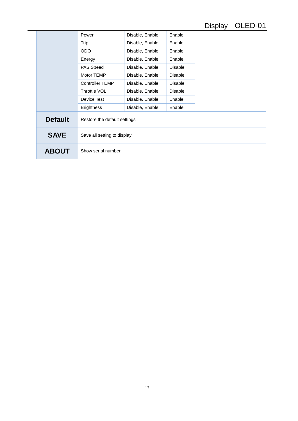## Display OLED-01

|                | Power                        | Disable, Enable | Enable         |  |
|----------------|------------------------------|-----------------|----------------|--|
|                | Trip                         | Disable, Enable | Enable         |  |
|                | <b>ODO</b>                   | Disable, Enable | Enable         |  |
|                | Energy                       | Disable, Enable | Enable         |  |
|                | PAS Speed                    | Disable, Enable | <b>Disable</b> |  |
|                | Motor TEMP                   | Disable, Enable | <b>Disable</b> |  |
|                | <b>Controller TEMP</b>       | Disable, Enable | <b>Disable</b> |  |
|                | Throttle VOL                 | Disable, Enable | <b>Disable</b> |  |
|                | Device Test                  | Disable, Enable | Enable         |  |
|                | <b>Brightness</b>            | Disable, Enable | Enable         |  |
| <b>Default</b> | Restore the default settings |                 |                |  |
| <b>SAVE</b>    | Save all setting to display  |                 |                |  |
| <b>ABOUT</b>   | Show serial number           |                 |                |  |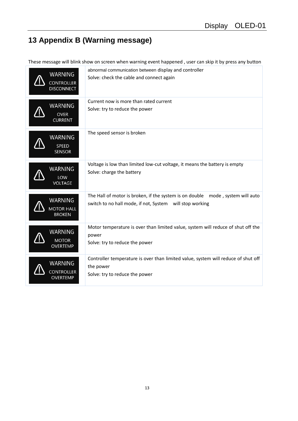## <span id="page-12-0"></span>**13 Appendix B (Warning message)**

These message will blink show on screen when warning event happened , user can skip it by press any button

| <b>WARNING</b><br><b>CONTROLLER</b><br><b>DISCONNECT</b> | abnormal communication between display and controller<br>Solve: check the cable and connect again                                          |
|----------------------------------------------------------|--------------------------------------------------------------------------------------------------------------------------------------------|
| <b>WARNING</b><br><b>OVER</b><br><b>CURRENT</b>          | Current now is more than rated current<br>Solve: try to reduce the power                                                                   |
| <b>WARNING</b><br>SPEED<br><b>SENSOR</b>                 | The speed sensor is broken                                                                                                                 |
| <b>WARNING</b><br>LOW<br><b>VOLTAGE</b>                  | Voltage is low than limited low-cut voltage, it means the battery is empty<br>Solve: charge the battery                                    |
| <b>WARNING</b><br><b>MOTOR HALL</b><br><b>BROKEN</b>     | The Hall of motor is broken, if the system is on double mode, system will auto<br>switch to no hall mode, if not, System will stop working |
| <b>WARNING</b><br><b>MOTOR</b><br><b>OVERTEMP</b>        | Motor temperature is over than limited value, system will reduce of shut off the<br>power<br>Solve: try to reduce the power                |
| <b>WARNING</b><br><b>CONTROLLER</b><br><b>OVERTEMP</b>   | Controller temperature is over than limited value, system will reduce of shut off<br>the power<br>Solve: try to reduce the power           |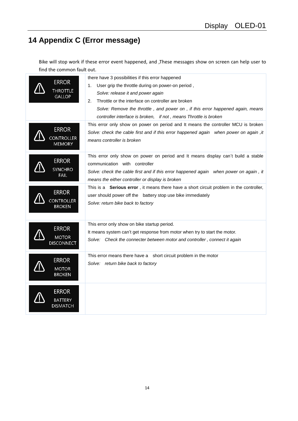## <span id="page-13-0"></span>**14 Appendix C (Error message)**

Bike will stop work if these error event happened, and ,These messages show on screen can help user to find the common fault out.

| <b>ERROR</b><br><b>THROTTLE</b><br><b>GALLOP</b><br><b>ERROR</b> | there have 3 possibilities if this error happened<br>User grip the throttle during on power-on period,<br>1.<br>Solve: release it and power again<br>Throttle or the interface on controller are broken<br>2.<br>Solve: Remove the throttle, and power on, if this error happened again, means<br>controller interface is broken, if not, means Throttle is broken<br>This error only show on power on period and It means the controller MCU is broken<br>Solve: check the cable first and if this error happened again when power on again , it |
|------------------------------------------------------------------|---------------------------------------------------------------------------------------------------------------------------------------------------------------------------------------------------------------------------------------------------------------------------------------------------------------------------------------------------------------------------------------------------------------------------------------------------------------------------------------------------------------------------------------------------|
| <b>CONTROLLER</b><br><b>MEMORY</b>                               | means controller is broken                                                                                                                                                                                                                                                                                                                                                                                                                                                                                                                        |
| <b>ERROR</b><br><b>SYNCHRO</b><br>FAIL                           | This error only show on power on period and It means display can't build a stable<br>communication with controller<br>Solve: check the cable first and if this error happened again when power on again, it<br>means the either controller or display is broken                                                                                                                                                                                                                                                                                   |
| <b>ERROR</b><br><b>CONTROLLER</b><br><b>BROKEN</b>               | This is a Serious error, it means there have a short circuit problem in the controller,<br>user should power off the battery stop use bike immediately<br>Solve: return bike back to factory                                                                                                                                                                                                                                                                                                                                                      |
| <b>ERROR</b><br><b>MOTOR</b><br><b>DISCONNECT</b>                | This error only show on bike startup period.<br>It means system can't get response from motor when try to start the motor.<br>Solve: Check the connecter between motor and controller, connect it again                                                                                                                                                                                                                                                                                                                                           |
| <b>ERROR</b><br><b>MOTOR</b><br><b>BROKEN</b>                    | This error means there have a short circuit problem in the motor<br>Solve: return bike back to factory                                                                                                                                                                                                                                                                                                                                                                                                                                            |
| <b>ERROR</b><br><b>BATTERY</b><br><b>DISMATCH</b>                |                                                                                                                                                                                                                                                                                                                                                                                                                                                                                                                                                   |